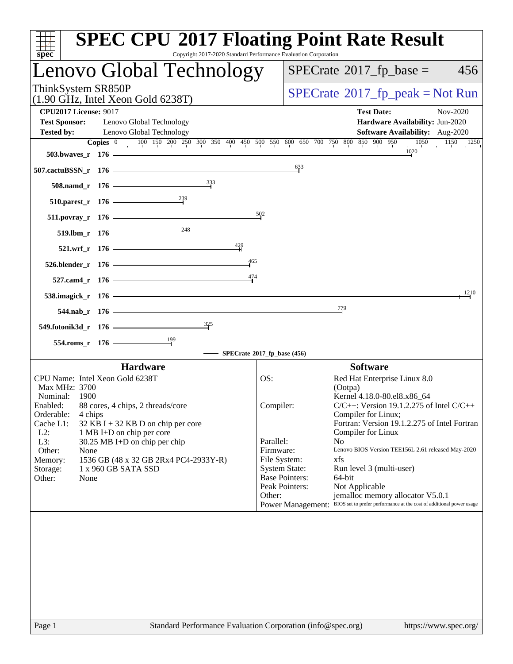| Copyright 2017-2020 Standard Performance Evaluation Corporation<br>spec <sup>®</sup> |                             | <b>SPEC CPU®2017 Floating Point Rate Result</b>                                                                            |
|--------------------------------------------------------------------------------------|-----------------------------|----------------------------------------------------------------------------------------------------------------------------|
| Lenovo Global Technology                                                             |                             | $SPECrate^{\circ}2017$ _fp_base =<br>456                                                                                   |
| ThinkSystem SR850P<br>$(1.90 \text{ GHz}, \text{Intel Xeon Gold } 6238 \text{T})$    |                             | $SPECrate^{\circ}2017$ [p_peak = Not Run                                                                                   |
| <b>CPU2017 License: 9017</b>                                                         |                             | <b>Test Date:</b><br>Nov-2020                                                                                              |
| <b>Test Sponsor:</b><br>Lenovo Global Technology                                     |                             | Hardware Availability: Jun-2020                                                                                            |
| Lenovo Global Technology<br><b>Tested by:</b>                                        |                             | Software Availability: Aug-2020                                                                                            |
| Copies $ 0\rangle$                                                                   |                             | 100 150 200 250 300 350 400 450 500 550 600 650 700 750 800 850 900 950<br>1050<br>1150<br>1250                            |
| 503.bwaves_r 176                                                                     |                             | 1020                                                                                                                       |
| 507.cactuBSSN_r 176                                                                  |                             | 633                                                                                                                        |
|                                                                                      |                             |                                                                                                                            |
| 333<br>508.namd_r 176<br>$\frac{239}{2}$                                             |                             |                                                                                                                            |
| 510.parest_r 176                                                                     |                             |                                                                                                                            |
| $511. povray_r$ 176                                                                  | $\frac{502}{2}$             |                                                                                                                            |
| 248<br>519.lbm_r 176                                                                 |                             |                                                                                                                            |
|                                                                                      | 429                         |                                                                                                                            |
| 521.wrf_r 176                                                                        | 465                         |                                                                                                                            |
| 526.blender_r 176                                                                    |                             |                                                                                                                            |
| 527.cam4_r 176                                                                       | 474                         |                                                                                                                            |
| 538.imagick_r 176                                                                    |                             | 1210                                                                                                                       |
| 544.nab_r 176                                                                        |                             | 779                                                                                                                        |
| 325<br>549.fotonik3d_r 176                                                           |                             |                                                                                                                            |
| 199<br>554.roms_r 176                                                                |                             |                                                                                                                            |
|                                                                                      | SPECrate®2017_fp_base (456) |                                                                                                                            |
| <b>Hardware</b>                                                                      |                             | <b>Software</b>                                                                                                            |
| CPU Name: Intel Xeon Gold 6238T                                                      | OS:                         | Red Hat Enterprise Linux 8.0                                                                                               |
| Max MHz: 3700                                                                        |                             | (Ootpa)                                                                                                                    |
| Nominal:<br>1900                                                                     |                             | Kernel 4.18.0-80.el8.x86_64                                                                                                |
| 88 cores, 4 chips, 2 threads/core<br>Enabled:<br>Orderable:<br>4 chips               | Compiler:                   | $C/C++$ : Version 19.1.2.275 of Intel $C/C++$<br>Compiler for Linux;                                                       |
| Cache L1:<br>$32$ KB I + 32 KB D on chip per core                                    |                             | Fortran: Version 19.1.2.275 of Intel Fortran                                                                               |
| $L2$ :<br>1 MB I+D on chip per core                                                  |                             | Compiler for Linux                                                                                                         |
| L3:<br>30.25 MB I+D on chip per chip                                                 | Parallel:                   | No                                                                                                                         |
| Other:<br>None<br>Memory:                                                            | Firmware:<br>File System:   | Lenovo BIOS Version TEE156L 2.61 released May-2020<br>xfs                                                                  |
| 1536 GB (48 x 32 GB 2Rx4 PC4-2933Y-R)<br>Storage:<br>1 x 960 GB SATA SSD             |                             | <b>System State:</b><br>Run level 3 (multi-user)                                                                           |
| Other:<br>None                                                                       |                             | <b>Base Pointers:</b><br>64-bit                                                                                            |
|                                                                                      |                             | Peak Pointers:<br>Not Applicable                                                                                           |
|                                                                                      | Other:                      | jemalloc memory allocator V5.0.1<br>Power Management: BIOS set to prefer performance at the cost of additional power usage |
|                                                                                      |                             |                                                                                                                            |
|                                                                                      |                             |                                                                                                                            |
|                                                                                      |                             |                                                                                                                            |
|                                                                                      |                             |                                                                                                                            |
|                                                                                      |                             |                                                                                                                            |
|                                                                                      |                             |                                                                                                                            |
|                                                                                      |                             |                                                                                                                            |
|                                                                                      |                             |                                                                                                                            |
|                                                                                      |                             |                                                                                                                            |
|                                                                                      |                             |                                                                                                                            |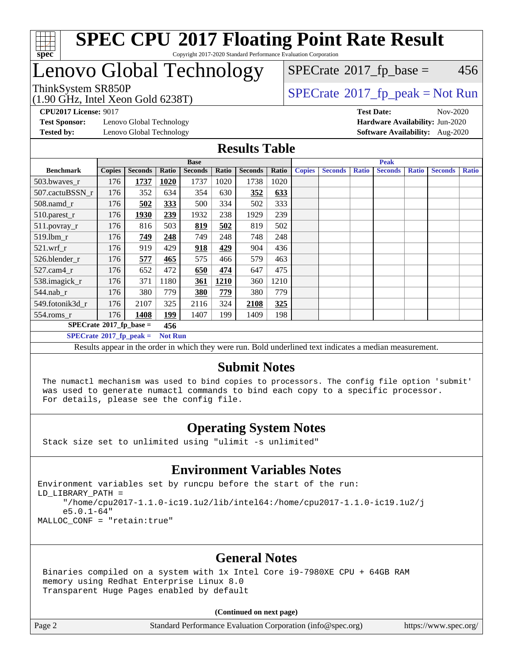

#### **[SPEC CPU](http://www.spec.org/auto/cpu2017/Docs/result-fields.html#SPECCPU2017FloatingPointRateResult)[2017 Floating Point Rate Result](http://www.spec.org/auto/cpu2017/Docs/result-fields.html#SPECCPU2017FloatingPointRateResult)** Copyright 2017-2020 Standard Performance Evaluation Corporation

# Lenovo Global Technology

(1.90 GHz, Intel Xeon Gold 6238T)

ThinkSystem SR850P<br>(1.00 GHz, Intel Year Gold 6238T) [SPECrate](http://www.spec.org/auto/cpu2017/Docs/result-fields.html#SPECrate2017fppeak)®[2017\\_fp\\_peak = N](http://www.spec.org/auto/cpu2017/Docs/result-fields.html#SPECrate2017fppeak)ot Run  $SPECTate$ <sup>®</sup>[2017\\_fp\\_base =](http://www.spec.org/auto/cpu2017/Docs/result-fields.html#SPECrate2017fpbase) 456

**[Test Sponsor:](http://www.spec.org/auto/cpu2017/Docs/result-fields.html#TestSponsor)** Lenovo Global Technology **[Hardware Availability:](http://www.spec.org/auto/cpu2017/Docs/result-fields.html#HardwareAvailability)** Jun-2020 **[Tested by:](http://www.spec.org/auto/cpu2017/Docs/result-fields.html#Testedby)** Lenovo Global Technology **[Software Availability:](http://www.spec.org/auto/cpu2017/Docs/result-fields.html#SoftwareAvailability)** Aug-2020

**[CPU2017 License:](http://www.spec.org/auto/cpu2017/Docs/result-fields.html#CPU2017License)** 9017 **[Test Date:](http://www.spec.org/auto/cpu2017/Docs/result-fields.html#TestDate)** Nov-2020

#### **[Results Table](http://www.spec.org/auto/cpu2017/Docs/result-fields.html#ResultsTable)**

|                                        |               |                |                | <b>Base</b>    |       |                |       | <b>Peak</b>   |                |              |                |              |                |              |
|----------------------------------------|---------------|----------------|----------------|----------------|-------|----------------|-------|---------------|----------------|--------------|----------------|--------------|----------------|--------------|
| <b>Benchmark</b>                       | <b>Copies</b> | <b>Seconds</b> | Ratio          | <b>Seconds</b> | Ratio | <b>Seconds</b> | Ratio | <b>Copies</b> | <b>Seconds</b> | <b>Ratio</b> | <b>Seconds</b> | <b>Ratio</b> | <b>Seconds</b> | <b>Ratio</b> |
| 503.bwayes r                           | 176           | 1737           | 1020           | 1737           | 1020  | 1738           | 1020  |               |                |              |                |              |                |              |
| 507.cactuBSSN r                        | 176           | 352            | 634            | 354            | 630   | 352            | 633   |               |                |              |                |              |                |              |
| $508$ .namd $r$                        | 176           | 502            | 333            | 500            | 334   | 502            | 333   |               |                |              |                |              |                |              |
| 510.parest_r                           | 176           | 1930           | 239            | 1932           | 238   | 1929           | 239   |               |                |              |                |              |                |              |
| 511.povray_r                           | 176           | 816            | 503            | 819            | 502   | 819            | 502   |               |                |              |                |              |                |              |
| 519.1bm_r                              | 176           | 749            | 248            | 749            | 248   | 748            | 248   |               |                |              |                |              |                |              |
| $521.wrf_r$                            | 176           | 919            | 429            | 918            | 429   | 904            | 436   |               |                |              |                |              |                |              |
| 526.blender r                          | 176           | 577            | 465            | 575            | 466   | 579            | 463   |               |                |              |                |              |                |              |
| $527.cam4_r$                           | 176           | 652            | 472            | 650            | 474   | 647            | 475   |               |                |              |                |              |                |              |
| 538.imagick_r                          | 176           | 371            | 1180           | 361            | 1210  | 360            | 1210  |               |                |              |                |              |                |              |
| $544$ .nab r                           | 176           | 380            | 779            | 380            | 779   | 380            | 779   |               |                |              |                |              |                |              |
| 549.fotonik3d r                        | 176           | 2107           | 325            | 2116           | 324   | 2108           | 325   |               |                |              |                |              |                |              |
| $554$ .roms_r                          | 176           | 1408           | <u>199</u>     | 1407           | 199   | 1409           | 198   |               |                |              |                |              |                |              |
| $SPECrate*2017_fp\_base =$             |               |                | 456            |                |       |                |       |               |                |              |                |              |                |              |
| $SPECTate$ <sup>®</sup> 2017_fp_peak = |               |                | <b>Not Run</b> |                |       |                |       |               |                |              |                |              |                |              |

Results appear in the [order in which they were run](http://www.spec.org/auto/cpu2017/Docs/result-fields.html#RunOrder). Bold underlined text [indicates a median measurement.](http://www.spec.org/auto/cpu2017/Docs/result-fields.html#Median)

#### **[Submit Notes](http://www.spec.org/auto/cpu2017/Docs/result-fields.html#SubmitNotes)**

 The numactl mechanism was used to bind copies to processors. The config file option 'submit' was used to generate numactl commands to bind each copy to a specific processor. For details, please see the config file.

### **[Operating System Notes](http://www.spec.org/auto/cpu2017/Docs/result-fields.html#OperatingSystemNotes)**

Stack size set to unlimited using "ulimit -s unlimited"

#### **[Environment Variables Notes](http://www.spec.org/auto/cpu2017/Docs/result-fields.html#EnvironmentVariablesNotes)**

Environment variables set by runcpu before the start of the run: LD\_LIBRARY\_PATH = "/home/cpu2017-1.1.0-ic19.1u2/lib/intel64:/home/cpu2017-1.1.0-ic19.1u2/j e5.0.1-64" MALLOC\_CONF = "retain:true"

#### **[General Notes](http://www.spec.org/auto/cpu2017/Docs/result-fields.html#GeneralNotes)**

 Binaries compiled on a system with 1x Intel Core i9-7980XE CPU + 64GB RAM memory using Redhat Enterprise Linux 8.0 Transparent Huge Pages enabled by default

#### **(Continued on next page)**

Page 2 Standard Performance Evaluation Corporation [\(info@spec.org\)](mailto:info@spec.org) <https://www.spec.org/>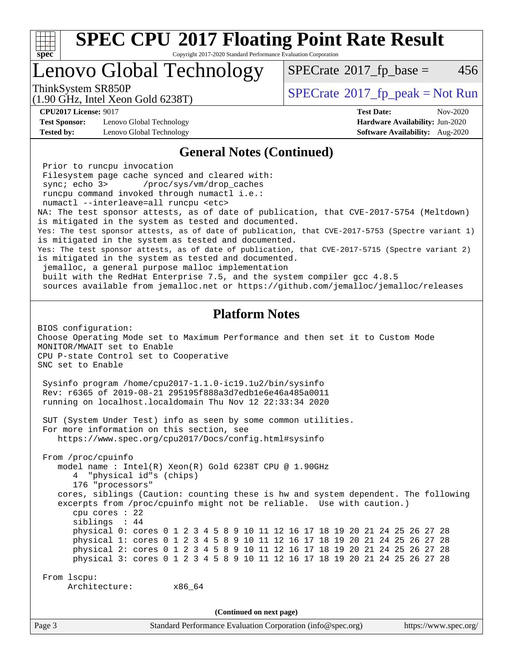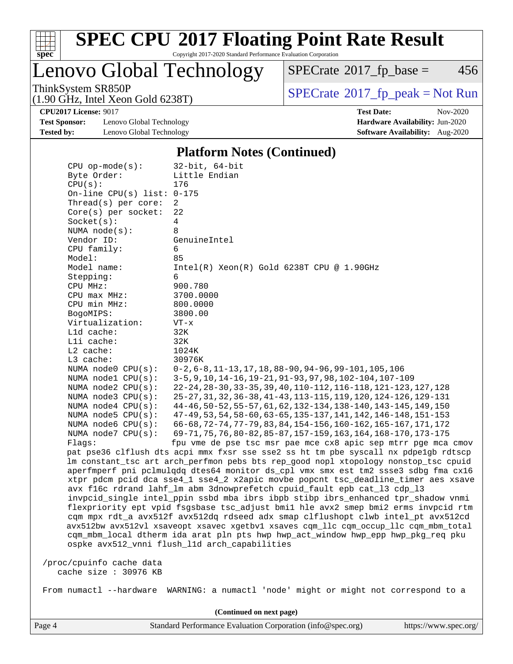

Copyright 2017-2020 Standard Performance Evaluation Corporation

Lenovo Global Technology

 $SPECTate@2017_fp\_base = 456$ 

(1.90 GHz, Intel Xeon Gold 6238T)

ThinkSystem SR850P<br>(1.90 GHz, Intel Xeon Gold 6238T) [SPECrate](http://www.spec.org/auto/cpu2017/Docs/result-fields.html#SPECrate2017fppeak)®[2017\\_fp\\_peak = N](http://www.spec.org/auto/cpu2017/Docs/result-fields.html#SPECrate2017fppeak)ot Run

**[Test Sponsor:](http://www.spec.org/auto/cpu2017/Docs/result-fields.html#TestSponsor)** Lenovo Global Technology **[Hardware Availability:](http://www.spec.org/auto/cpu2017/Docs/result-fields.html#HardwareAvailability)** Jun-2020 **[Tested by:](http://www.spec.org/auto/cpu2017/Docs/result-fields.html#Testedby)** Lenovo Global Technology **[Software Availability:](http://www.spec.org/auto/cpu2017/Docs/result-fields.html#SoftwareAvailability)** Aug-2020

**[CPU2017 License:](http://www.spec.org/auto/cpu2017/Docs/result-fields.html#CPU2017License)** 9017 **[Test Date:](http://www.spec.org/auto/cpu2017/Docs/result-fields.html#TestDate)** Nov-2020

#### **[Platform Notes \(Continued\)](http://www.spec.org/auto/cpu2017/Docs/result-fields.html#PlatformNotes)**

| $CPU$ op-mode( $s$ ):<br>Byte Order:<br>CPU(s):<br>On-line CPU(s) list: $0-175$<br>Thread(s) per core:<br>Core(s) per socket:<br>Socket(s):<br>NUMA $node(s)$ :<br>Vendor ID:<br>CPU family:<br>Model:<br>Model name:<br>Stepping: | $32$ -bit, $64$ -bit<br>Little Endian<br>176<br>2<br>22<br>4<br>8<br>GenuineIntel<br>6<br>85<br>$Intel(R) Xeon(R) Gold 6238T CPU @ 1.90GHz$<br>6            |
|------------------------------------------------------------------------------------------------------------------------------------------------------------------------------------------------------------------------------------|-------------------------------------------------------------------------------------------------------------------------------------------------------------|
| CPU MHz:                                                                                                                                                                                                                           | 900.780                                                                                                                                                     |
| $CPU$ max $MHz$ :                                                                                                                                                                                                                  | 3700.0000                                                                                                                                                   |
| CPU min MHz:                                                                                                                                                                                                                       | 800.0000                                                                                                                                                    |
| BogoMIPS:                                                                                                                                                                                                                          | 3800.00                                                                                                                                                     |
| Virtualization:                                                                                                                                                                                                                    | $VT - x$                                                                                                                                                    |
| L1d cache:                                                                                                                                                                                                                         | 32K                                                                                                                                                         |
| Lli cache:<br>$L2$ cache:                                                                                                                                                                                                          | 32K                                                                                                                                                         |
| L3 cache:                                                                                                                                                                                                                          | 1024K<br>30976K                                                                                                                                             |
| NUMA node0 CPU(s):                                                                                                                                                                                                                 | $0-2, 6-8, 11-13, 17, 18, 88-90, 94-96, 99-101, 105, 106$                                                                                                   |
| NUMA nodel CPU(s):                                                                                                                                                                                                                 | 3-5, 9, 10, 14-16, 19-21, 91-93, 97, 98, 102-104, 107-109                                                                                                   |
| NUMA $node2$ $CPU(s):$                                                                                                                                                                                                             | 22-24, 28-30, 33-35, 39, 40, 110-112, 116-118, 121-123, 127, 128                                                                                            |
| NUMA node3 CPU(s):                                                                                                                                                                                                                 | 25-27, 31, 32, 36-38, 41-43, 113-115, 119, 120, 124-126, 129-131                                                                                            |
| NUMA $node4$ $CPU(s):$<br>NUMA $node5$ CPU $(s)$ :                                                                                                                                                                                 | 44-46, 50-52, 55-57, 61, 62, 132-134, 138-140, 143-145, 149, 150<br>47-49, 53, 54, 58-60, 63-65, 135-137, 141, 142, 146-148, 151-153                        |
| NUMA node6 CPU(s):                                                                                                                                                                                                                 | 66-68, 72-74, 77-79, 83, 84, 154-156, 160-162, 165-167, 171, 172                                                                                            |
| NUMA node7 CPU(s):                                                                                                                                                                                                                 | 69-71, 75, 76, 80-82, 85-87, 157-159, 163, 164, 168-170, 173-175                                                                                            |
| Flaqs:                                                                                                                                                                                                                             | fpu vme de pse tsc msr pae mce cx8 apic sep mtrr pge mca cmov                                                                                               |
|                                                                                                                                                                                                                                    | pat pse36 clflush dts acpi mmx fxsr sse sse2 ss ht tm pbe syscall nx pdpelgb rdtscp                                                                         |
|                                                                                                                                                                                                                                    | lm constant_tsc art arch_perfmon pebs bts rep_good nopl xtopology nonstop_tsc cpuid                                                                         |
|                                                                                                                                                                                                                                    | aperfmperf pni pclmulqdq dtes64 monitor ds_cpl vmx smx est tm2 ssse3 sdbg fma cx16                                                                          |
|                                                                                                                                                                                                                                    | xtpr pdcm pcid dca sse4_1 sse4_2 x2apic movbe popcnt tsc_deadline_timer aes xsave                                                                           |
|                                                                                                                                                                                                                                    | avx f16c rdrand lahf_lm abm 3dnowprefetch cpuid_fault epb cat_13 cdp_13<br>invpcid_single intel_ppin ssbd mba ibrs ibpb stibp ibrs_enhanced tpr_shadow vnmi |
|                                                                                                                                                                                                                                    | flexpriority ept vpid fsgsbase tsc adjust bmil hle avx2 smep bmi2 erms invpcid rtm                                                                          |
|                                                                                                                                                                                                                                    | cqm mpx rdt_a avx512f avx512dq rdseed adx smap clflushopt clwb intel_pt avx512cd                                                                            |
|                                                                                                                                                                                                                                    | avx512bw avx512vl xsaveopt xsavec xgetbvl xsaves cqm_llc cqm_occup_llc cqm_mbm_total                                                                        |
|                                                                                                                                                                                                                                    | cqm_mbm_local dtherm ida arat pln pts hwp hwp_act_window hwp_epp hwp_pkg_req pku                                                                            |
|                                                                                                                                                                                                                                    | ospke avx512_vnni flush_l1d arch_capabilities                                                                                                               |
|                                                                                                                                                                                                                                    |                                                                                                                                                             |
| /proc/cpuinfo cache data<br>cache size : 30976 KB                                                                                                                                                                                  |                                                                                                                                                             |
|                                                                                                                                                                                                                                    |                                                                                                                                                             |
|                                                                                                                                                                                                                                    | From numactl --hardware WARNING: a numactl 'node' might or might not correspond to a                                                                        |
|                                                                                                                                                                                                                                    | (Continued on next page)                                                                                                                                    |
|                                                                                                                                                                                                                                    |                                                                                                                                                             |

Page 4 Standard Performance Evaluation Corporation [\(info@spec.org\)](mailto:info@spec.org) <https://www.spec.org/>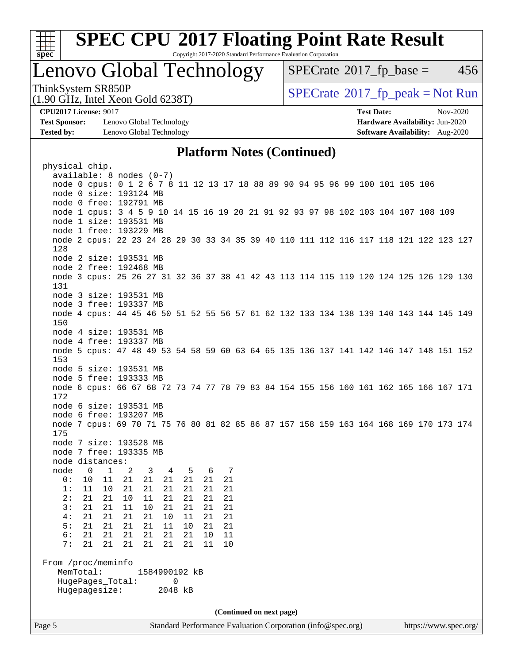

Copyright 2017-2020 Standard Performance Evaluation Corporation

### Lenovo Global Technology

 $SPECTate$ <sup>®</sup>[2017\\_fp\\_base =](http://www.spec.org/auto/cpu2017/Docs/result-fields.html#SPECrate2017fpbase) 456

ThinkSystem SR850P<br>(1.00 CHz, Intel Year Gald 6228T) [SPECrate](http://www.spec.org/auto/cpu2017/Docs/result-fields.html#SPECrate2017fppeak)®[2017\\_fp\\_peak = N](http://www.spec.org/auto/cpu2017/Docs/result-fields.html#SPECrate2017fppeak)ot Run

**[Test Sponsor:](http://www.spec.org/auto/cpu2017/Docs/result-fields.html#TestSponsor)** Lenovo Global Technology **[Hardware Availability:](http://www.spec.org/auto/cpu2017/Docs/result-fields.html#HardwareAvailability)** Jun-2020 **[Tested by:](http://www.spec.org/auto/cpu2017/Docs/result-fields.html#Testedby)** Lenovo Global Technology **[Software Availability:](http://www.spec.org/auto/cpu2017/Docs/result-fields.html#SoftwareAvailability)** Aug-2020

(1.90 GHz, Intel Xeon Gold 6238T)

**[CPU2017 License:](http://www.spec.org/auto/cpu2017/Docs/result-fields.html#CPU2017License)** 9017 **[Test Date:](http://www.spec.org/auto/cpu2017/Docs/result-fields.html#TestDate)** Nov-2020

#### **[Platform Notes \(Continued\)](http://www.spec.org/auto/cpu2017/Docs/result-fields.html#PlatformNotes)**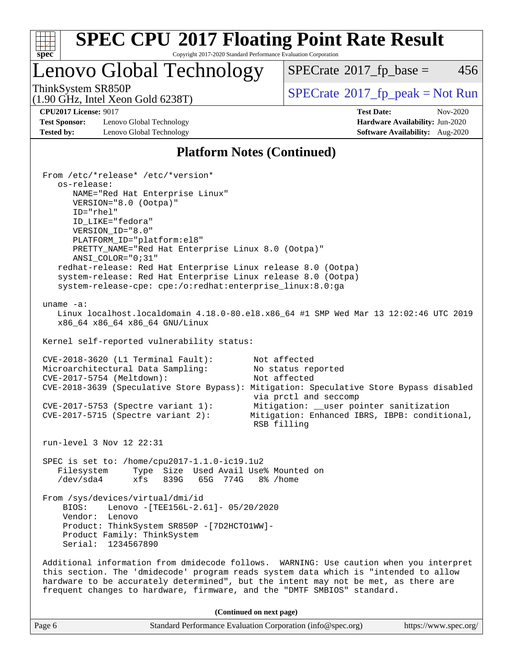

Copyright 2017-2020 Standard Performance Evaluation Corporation

Lenovo Global Technology

 $SPECTate$ <sup>®</sup>[2017\\_fp\\_base =](http://www.spec.org/auto/cpu2017/Docs/result-fields.html#SPECrate2017fpbase) 456

(1.90 GHz, Intel Xeon Gold 6238T)

ThinkSystem SR850P<br>(1.90 GHz, Intel Xeon Gold 6238T)  $\begin{array}{c} | \text{SPECrate} \textdegree 2017\_fp\_peak = Not Run \end{array}$  $\begin{array}{c} | \text{SPECrate} \textdegree 2017\_fp\_peak = Not Run \end{array}$  $\begin{array}{c} | \text{SPECrate} \textdegree 2017\_fp\_peak = Not Run \end{array}$ 

**[Test Sponsor:](http://www.spec.org/auto/cpu2017/Docs/result-fields.html#TestSponsor)** Lenovo Global Technology **[Hardware Availability:](http://www.spec.org/auto/cpu2017/Docs/result-fields.html#HardwareAvailability)** Jun-2020 **[Tested by:](http://www.spec.org/auto/cpu2017/Docs/result-fields.html#Testedby)** Lenovo Global Technology **[Software Availability:](http://www.spec.org/auto/cpu2017/Docs/result-fields.html#SoftwareAvailability)** Aug-2020

**[CPU2017 License:](http://www.spec.org/auto/cpu2017/Docs/result-fields.html#CPU2017License)** 9017 **[Test Date:](http://www.spec.org/auto/cpu2017/Docs/result-fields.html#TestDate)** Nov-2020

#### **[Platform Notes \(Continued\)](http://www.spec.org/auto/cpu2017/Docs/result-fields.html#PlatformNotes)**

 From /etc/\*release\* /etc/\*version\* os-release: NAME="Red Hat Enterprise Linux" VERSION="8.0 (Ootpa)" ID="rhel" ID\_LIKE="fedora" VERSION\_ID="8.0" PLATFORM\_ID="platform:el8" PRETTY\_NAME="Red Hat Enterprise Linux 8.0 (Ootpa)" ANSI\_COLOR="0;31" redhat-release: Red Hat Enterprise Linux release 8.0 (Ootpa) system-release: Red Hat Enterprise Linux release 8.0 (Ootpa) system-release-cpe: cpe:/o:redhat:enterprise\_linux:8.0:ga uname -a: Linux localhost.localdomain 4.18.0-80.el8.x86\_64 #1 SMP Wed Mar 13 12:02:46 UTC 2019 x86\_64 x86\_64 x86\_64 GNU/Linux Kernel self-reported vulnerability status: CVE-2018-3620 (L1 Terminal Fault): Not affected Microarchitectural Data Sampling: No status reported CVE-2017-5754 (Meltdown): Not affected CVE-2018-3639 (Speculative Store Bypass): Mitigation: Speculative Store Bypass disabled via prctl and seccomp CVE-2017-5753 (Spectre variant 1): Mitigation: \_\_user pointer sanitization CVE-2017-5715 (Spectre variant 2): Mitigation: Enhanced IBRS, IBPB: conditional, RSB filling run-level 3 Nov 12 22:31 SPEC is set to: /home/cpu2017-1.1.0-ic19.1u2 Filesystem Type Size Used Avail Use% Mounted on /dev/sda4 xfs 839G 65G 774G 8% /home From /sys/devices/virtual/dmi/id BIOS: Lenovo -[TEE156L-2.61]- 05/20/2020 Vendor: Lenovo Product: ThinkSystem SR850P -[7D2HCTO1WW]- Product Family: ThinkSystem Serial: 1234567890 Additional information from dmidecode follows. WARNING: Use caution when you interpret this section. The 'dmidecode' program reads system data which is "intended to allow hardware to be accurately determined", but the intent may not be met, as there are frequent changes to hardware, firmware, and the "DMTF SMBIOS" standard. **(Continued on next page)**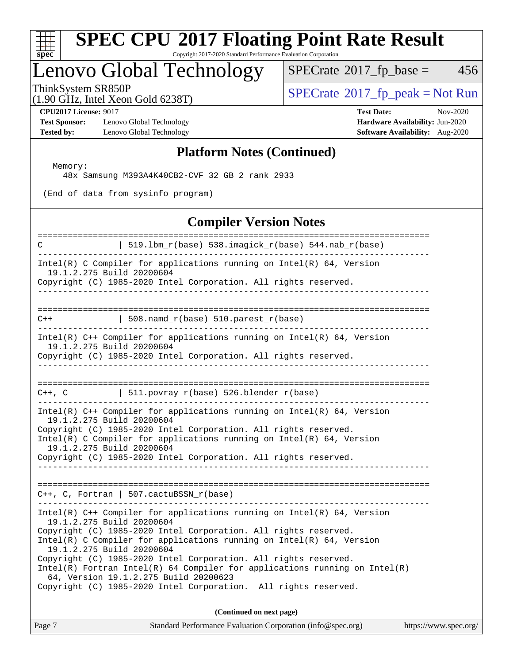

Copyright 2017-2020 Standard Performance Evaluation Corporation

# Lenovo Global Technology<br>ThinkSystem SR850P

 $SPECTate@2017_fp\_base = 456$ 

(1.90 GHz, Intel Xeon Gold 6238T)

 $SPECTate@2017_fp\_peak = Not Run$ 

**[Test Sponsor:](http://www.spec.org/auto/cpu2017/Docs/result-fields.html#TestSponsor)** Lenovo Global Technology **[Hardware Availability:](http://www.spec.org/auto/cpu2017/Docs/result-fields.html#HardwareAvailability)** Jun-2020 **[Tested by:](http://www.spec.org/auto/cpu2017/Docs/result-fields.html#Testedby)** Lenovo Global Technology **[Software Availability:](http://www.spec.org/auto/cpu2017/Docs/result-fields.html#SoftwareAvailability)** Aug-2020

**[CPU2017 License:](http://www.spec.org/auto/cpu2017/Docs/result-fields.html#CPU2017License)** 9017 **[Test Date:](http://www.spec.org/auto/cpu2017/Docs/result-fields.html#TestDate)** Nov-2020

#### **[Platform Notes \(Continued\)](http://www.spec.org/auto/cpu2017/Docs/result-fields.html#PlatformNotes)**

Memory:

48x Samsung M393A4K40CB2-CVF 32 GB 2 rank 2933

(End of data from sysinfo program)

#### **[Compiler Version Notes](http://www.spec.org/auto/cpu2017/Docs/result-fields.html#CompilerVersionNotes)**

| C                                                                                                                                                                                                                                                                                                                                                                                                                                                                                                                                               | 519.1bm_r(base) 538.imagick_r(base) 544.nab_r(base) |
|-------------------------------------------------------------------------------------------------------------------------------------------------------------------------------------------------------------------------------------------------------------------------------------------------------------------------------------------------------------------------------------------------------------------------------------------------------------------------------------------------------------------------------------------------|-----------------------------------------------------|
| Intel(R) C Compiler for applications running on Intel(R) $64$ , Version<br>19.1.2.275 Build 20200604<br>Copyright (C) 1985-2020 Intel Corporation. All rights reserved.                                                                                                                                                                                                                                                                                                                                                                         |                                                     |
| $C++$   508.namd_r(base) 510.parest_r(base)                                                                                                                                                                                                                                                                                                                                                                                                                                                                                                     |                                                     |
| Intel(R) $C++$ Compiler for applications running on Intel(R) 64, Version<br>19.1.2.275 Build 20200604<br>Copyright (C) 1985-2020 Intel Corporation. All rights reserved.                                                                                                                                                                                                                                                                                                                                                                        |                                                     |
| $C++$ , C $\qquad$   511.povray_r(base) 526.blender_r(base)                                                                                                                                                                                                                                                                                                                                                                                                                                                                                     |                                                     |
| Intel(R) $C++$ Compiler for applications running on Intel(R) 64, Version<br>19.1.2.275 Build 20200604<br>Copyright (C) 1985-2020 Intel Corporation. All rights reserved.<br>Intel(R) C Compiler for applications running on $Intel(R) 64$ , Version<br>19.1.2.275 Build 20200604<br>Copyright (C) 1985-2020 Intel Corporation. All rights reserved.                                                                                                                                                                                             |                                                     |
| $C++$ , C, Fortran   507.cactuBSSN_r(base)                                                                                                                                                                                                                                                                                                                                                                                                                                                                                                      |                                                     |
| Intel(R) $C++$ Compiler for applications running on Intel(R) 64, Version<br>19.1.2.275 Build 20200604<br>Copyright (C) 1985-2020 Intel Corporation. All rights reserved.<br>Intel(R) C Compiler for applications running on $Intel(R) 64$ , Version<br>19.1.2.275 Build 20200604<br>Copyright (C) 1985-2020 Intel Corporation. All rights reserved.<br>$Intel(R)$ Fortran Intel(R) 64 Compiler for applications running on Intel(R)<br>64, Version 19.1.2.275 Build 20200623<br>Copyright (C) 1985-2020 Intel Corporation. All rights reserved. |                                                     |
|                                                                                                                                                                                                                                                                                                                                                                                                                                                                                                                                                 | (Continued on next page)                            |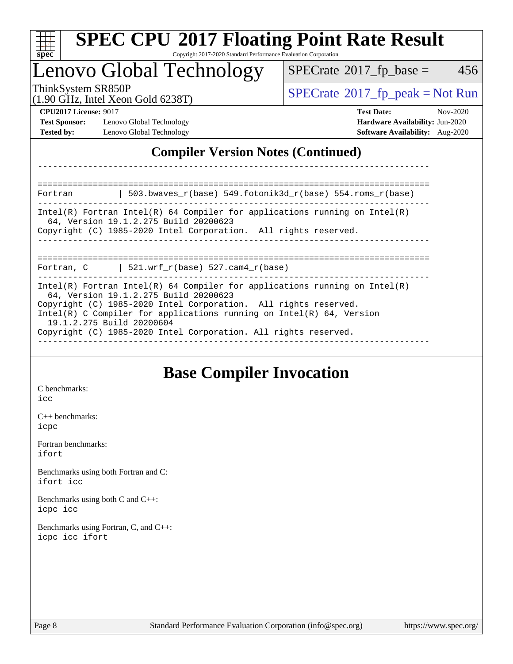| <b>SPEC CPU®2017 Floating Point Rate Result</b><br>Copyright 2017-2020 Standard Performance Evaluation Corporation<br>spec <sup>®</sup>                                                                                                                                                          |                                                                    |  |  |  |  |
|--------------------------------------------------------------------------------------------------------------------------------------------------------------------------------------------------------------------------------------------------------------------------------------------------|--------------------------------------------------------------------|--|--|--|--|
| Lenovo Global Technology                                                                                                                                                                                                                                                                         | 456<br>$SPECrate^{\circ}2017$ fp base =                            |  |  |  |  |
| ThinkSystem SR850P<br>$(1.90 \text{ GHz}, \text{Intel Xeon Gold } 6238 \text{T})$                                                                                                                                                                                                                | $SPECrate^{\circ}2017$ _fp_peak = Not Run                          |  |  |  |  |
| <b>CPU2017 License: 9017</b>                                                                                                                                                                                                                                                                     | <b>Test Date:</b><br>$Nov-2020$                                    |  |  |  |  |
| <b>Test Sponsor:</b><br>Lenovo Global Technology<br><b>Tested by:</b><br>Lenovo Global Technology                                                                                                                                                                                                | Hardware Availability: Jun-2020<br>Software Availability: Aug-2020 |  |  |  |  |
| 503.bwaves_r(base) 549.fotonik3d_r(base) 554.roms_r(base)<br>Fortran                                                                                                                                                                                                                             |                                                                    |  |  |  |  |
| Intel(R) Fortran Intel(R) 64 Compiler for applications running on Intel(R)<br>64, Version 19.1.2.275 Build 20200623<br>Copyright (C) 1985-2020 Intel Corporation. All rights reserved.                                                                                                           |                                                                    |  |  |  |  |
| Fortran, C $\vert$ 521.wrf_r(base) 527.cam4_r(base)                                                                                                                                                                                                                                              |                                                                    |  |  |  |  |
| Intel(R) Fortran Intel(R) 64 Compiler for applications running on $Intel(R)$<br>64, Version 19.1.2.275 Build 20200623<br>Copyright (C) 1985-2020 Intel Corporation. All rights reserved.<br>Intel(R) C Compiler for applications running on $Intel(R) 64$ , Version<br>19.1.2.275 Build 20200604 |                                                                    |  |  |  |  |

### **[Base Compiler Invocation](http://www.spec.org/auto/cpu2017/Docs/result-fields.html#BaseCompilerInvocation)**

[C benchmarks](http://www.spec.org/auto/cpu2017/Docs/result-fields.html#Cbenchmarks): [icc](http://www.spec.org/cpu2017/results/res2020q4/cpu2017-20201123-24457.flags.html#user_CCbase_intel_icc_66fc1ee009f7361af1fbd72ca7dcefbb700085f36577c54f309893dd4ec40d12360134090235512931783d35fd58c0460139e722d5067c5574d8eaf2b3e37e92)

[C++ benchmarks:](http://www.spec.org/auto/cpu2017/Docs/result-fields.html#CXXbenchmarks) [icpc](http://www.spec.org/cpu2017/results/res2020q4/cpu2017-20201123-24457.flags.html#user_CXXbase_intel_icpc_c510b6838c7f56d33e37e94d029a35b4a7bccf4766a728ee175e80a419847e808290a9b78be685c44ab727ea267ec2f070ec5dc83b407c0218cded6866a35d07)

[Fortran benchmarks](http://www.spec.org/auto/cpu2017/Docs/result-fields.html#Fortranbenchmarks): [ifort](http://www.spec.org/cpu2017/results/res2020q4/cpu2017-20201123-24457.flags.html#user_FCbase_intel_ifort_8111460550e3ca792625aed983ce982f94888b8b503583aa7ba2b8303487b4d8a21a13e7191a45c5fd58ff318f48f9492884d4413fa793fd88dd292cad7027ca)

[Benchmarks using both Fortran and C](http://www.spec.org/auto/cpu2017/Docs/result-fields.html#BenchmarksusingbothFortranandC): [ifort](http://www.spec.org/cpu2017/results/res2020q4/cpu2017-20201123-24457.flags.html#user_CC_FCbase_intel_ifort_8111460550e3ca792625aed983ce982f94888b8b503583aa7ba2b8303487b4d8a21a13e7191a45c5fd58ff318f48f9492884d4413fa793fd88dd292cad7027ca) [icc](http://www.spec.org/cpu2017/results/res2020q4/cpu2017-20201123-24457.flags.html#user_CC_FCbase_intel_icc_66fc1ee009f7361af1fbd72ca7dcefbb700085f36577c54f309893dd4ec40d12360134090235512931783d35fd58c0460139e722d5067c5574d8eaf2b3e37e92)

[Benchmarks using both C and C++](http://www.spec.org/auto/cpu2017/Docs/result-fields.html#BenchmarksusingbothCandCXX): [icpc](http://www.spec.org/cpu2017/results/res2020q4/cpu2017-20201123-24457.flags.html#user_CC_CXXbase_intel_icpc_c510b6838c7f56d33e37e94d029a35b4a7bccf4766a728ee175e80a419847e808290a9b78be685c44ab727ea267ec2f070ec5dc83b407c0218cded6866a35d07) [icc](http://www.spec.org/cpu2017/results/res2020q4/cpu2017-20201123-24457.flags.html#user_CC_CXXbase_intel_icc_66fc1ee009f7361af1fbd72ca7dcefbb700085f36577c54f309893dd4ec40d12360134090235512931783d35fd58c0460139e722d5067c5574d8eaf2b3e37e92)

[Benchmarks using Fortran, C, and C++:](http://www.spec.org/auto/cpu2017/Docs/result-fields.html#BenchmarksusingFortranCandCXX) [icpc](http://www.spec.org/cpu2017/results/res2020q4/cpu2017-20201123-24457.flags.html#user_CC_CXX_FCbase_intel_icpc_c510b6838c7f56d33e37e94d029a35b4a7bccf4766a728ee175e80a419847e808290a9b78be685c44ab727ea267ec2f070ec5dc83b407c0218cded6866a35d07) [icc](http://www.spec.org/cpu2017/results/res2020q4/cpu2017-20201123-24457.flags.html#user_CC_CXX_FCbase_intel_icc_66fc1ee009f7361af1fbd72ca7dcefbb700085f36577c54f309893dd4ec40d12360134090235512931783d35fd58c0460139e722d5067c5574d8eaf2b3e37e92) [ifort](http://www.spec.org/cpu2017/results/res2020q4/cpu2017-20201123-24457.flags.html#user_CC_CXX_FCbase_intel_ifort_8111460550e3ca792625aed983ce982f94888b8b503583aa7ba2b8303487b4d8a21a13e7191a45c5fd58ff318f48f9492884d4413fa793fd88dd292cad7027ca)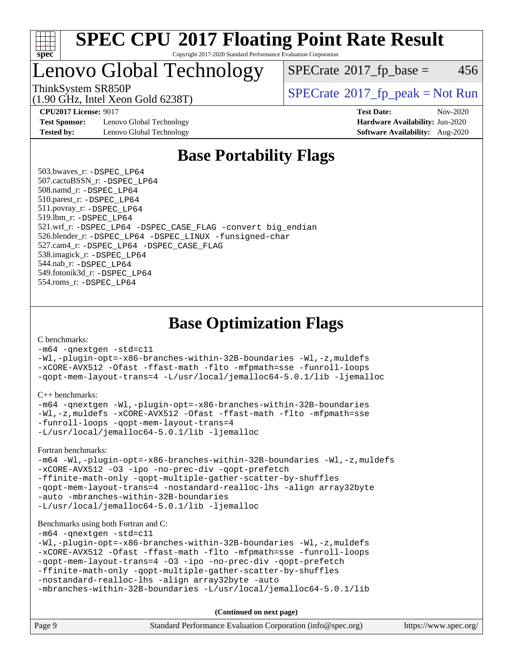

#### **[SPEC CPU](http://www.spec.org/auto/cpu2017/Docs/result-fields.html#SPECCPU2017FloatingPointRateResult)[2017 Floating Point Rate Result](http://www.spec.org/auto/cpu2017/Docs/result-fields.html#SPECCPU2017FloatingPointRateResult)** Copyright 2017-2020 Standard Performance Evaluation Corporation

### Lenovo Global Technology

 $SPECTate$ <sup>®</sup>[2017\\_fp\\_base =](http://www.spec.org/auto/cpu2017/Docs/result-fields.html#SPECrate2017fpbase) 456

(1.90 GHz, Intel Xeon Gold 6238T)

 $SPECTate$ <sup>®</sup>[2017\\_fp\\_peak = N](http://www.spec.org/auto/cpu2017/Docs/result-fields.html#SPECrate2017fppeak)ot Run

**[Test Sponsor:](http://www.spec.org/auto/cpu2017/Docs/result-fields.html#TestSponsor)** Lenovo Global Technology **[Hardware Availability:](http://www.spec.org/auto/cpu2017/Docs/result-fields.html#HardwareAvailability)** Jun-2020 **[Tested by:](http://www.spec.org/auto/cpu2017/Docs/result-fields.html#Testedby)** Lenovo Global Technology **[Software Availability:](http://www.spec.org/auto/cpu2017/Docs/result-fields.html#SoftwareAvailability)** Aug-2020

**[CPU2017 License:](http://www.spec.org/auto/cpu2017/Docs/result-fields.html#CPU2017License)** 9017 **[Test Date:](http://www.spec.org/auto/cpu2017/Docs/result-fields.html#TestDate)** Nov-2020

### **[Base Portability Flags](http://www.spec.org/auto/cpu2017/Docs/result-fields.html#BasePortabilityFlags)**

 503.bwaves\_r: [-DSPEC\\_LP64](http://www.spec.org/cpu2017/results/res2020q4/cpu2017-20201123-24457.flags.html#suite_basePORTABILITY503_bwaves_r_DSPEC_LP64) 507.cactuBSSN\_r: [-DSPEC\\_LP64](http://www.spec.org/cpu2017/results/res2020q4/cpu2017-20201123-24457.flags.html#suite_basePORTABILITY507_cactuBSSN_r_DSPEC_LP64) 508.namd\_r: [-DSPEC\\_LP64](http://www.spec.org/cpu2017/results/res2020q4/cpu2017-20201123-24457.flags.html#suite_basePORTABILITY508_namd_r_DSPEC_LP64) 510.parest\_r: [-DSPEC\\_LP64](http://www.spec.org/cpu2017/results/res2020q4/cpu2017-20201123-24457.flags.html#suite_basePORTABILITY510_parest_r_DSPEC_LP64) 511.povray\_r: [-DSPEC\\_LP64](http://www.spec.org/cpu2017/results/res2020q4/cpu2017-20201123-24457.flags.html#suite_basePORTABILITY511_povray_r_DSPEC_LP64) 519.lbm\_r: [-DSPEC\\_LP64](http://www.spec.org/cpu2017/results/res2020q4/cpu2017-20201123-24457.flags.html#suite_basePORTABILITY519_lbm_r_DSPEC_LP64) 521.wrf\_r: [-DSPEC\\_LP64](http://www.spec.org/cpu2017/results/res2020q4/cpu2017-20201123-24457.flags.html#suite_basePORTABILITY521_wrf_r_DSPEC_LP64) [-DSPEC\\_CASE\\_FLAG](http://www.spec.org/cpu2017/results/res2020q4/cpu2017-20201123-24457.flags.html#b521.wrf_r_baseCPORTABILITY_DSPEC_CASE_FLAG) [-convert big\\_endian](http://www.spec.org/cpu2017/results/res2020q4/cpu2017-20201123-24457.flags.html#user_baseFPORTABILITY521_wrf_r_convert_big_endian_c3194028bc08c63ac5d04de18c48ce6d347e4e562e8892b8bdbdc0214820426deb8554edfa529a3fb25a586e65a3d812c835984020483e7e73212c4d31a38223) 526.blender\_r: [-DSPEC\\_LP64](http://www.spec.org/cpu2017/results/res2020q4/cpu2017-20201123-24457.flags.html#suite_basePORTABILITY526_blender_r_DSPEC_LP64) [-DSPEC\\_LINUX](http://www.spec.org/cpu2017/results/res2020q4/cpu2017-20201123-24457.flags.html#b526.blender_r_baseCPORTABILITY_DSPEC_LINUX) [-funsigned-char](http://www.spec.org/cpu2017/results/res2020q4/cpu2017-20201123-24457.flags.html#user_baseCPORTABILITY526_blender_r_force_uchar_40c60f00ab013830e2dd6774aeded3ff59883ba5a1fc5fc14077f794d777847726e2a5858cbc7672e36e1b067e7e5c1d9a74f7176df07886a243d7cc18edfe67) 527.cam4\_r: [-DSPEC\\_LP64](http://www.spec.org/cpu2017/results/res2020q4/cpu2017-20201123-24457.flags.html#suite_basePORTABILITY527_cam4_r_DSPEC_LP64) [-DSPEC\\_CASE\\_FLAG](http://www.spec.org/cpu2017/results/res2020q4/cpu2017-20201123-24457.flags.html#b527.cam4_r_baseCPORTABILITY_DSPEC_CASE_FLAG) 538.imagick\_r: [-DSPEC\\_LP64](http://www.spec.org/cpu2017/results/res2020q4/cpu2017-20201123-24457.flags.html#suite_basePORTABILITY538_imagick_r_DSPEC_LP64) 544.nab\_r: [-DSPEC\\_LP64](http://www.spec.org/cpu2017/results/res2020q4/cpu2017-20201123-24457.flags.html#suite_basePORTABILITY544_nab_r_DSPEC_LP64) 549.fotonik3d\_r: [-DSPEC\\_LP64](http://www.spec.org/cpu2017/results/res2020q4/cpu2017-20201123-24457.flags.html#suite_basePORTABILITY549_fotonik3d_r_DSPEC_LP64) 554.roms\_r: [-DSPEC\\_LP64](http://www.spec.org/cpu2017/results/res2020q4/cpu2017-20201123-24457.flags.html#suite_basePORTABILITY554_roms_r_DSPEC_LP64)

**[Base Optimization Flags](http://www.spec.org/auto/cpu2017/Docs/result-fields.html#BaseOptimizationFlags)**

[C benchmarks](http://www.spec.org/auto/cpu2017/Docs/result-fields.html#Cbenchmarks):

[-m64](http://www.spec.org/cpu2017/results/res2020q4/cpu2017-20201123-24457.flags.html#user_CCbase_m64-icc) [-qnextgen](http://www.spec.org/cpu2017/results/res2020q4/cpu2017-20201123-24457.flags.html#user_CCbase_f-qnextgen) [-std=c11](http://www.spec.org/cpu2017/results/res2020q4/cpu2017-20201123-24457.flags.html#user_CCbase_std-icc-std_0e1c27790398a4642dfca32ffe6c27b5796f9c2d2676156f2e42c9c44eaad0c049b1cdb667a270c34d979996257aeb8fc440bfb01818dbc9357bd9d174cb8524) [-Wl,-plugin-opt=-x86-branches-within-32B-boundaries](http://www.spec.org/cpu2017/results/res2020q4/cpu2017-20201123-24457.flags.html#user_CCbase_f-x86-branches-within-32B-boundaries_0098b4e4317ae60947b7b728078a624952a08ac37a3c797dfb4ffeb399e0c61a9dd0f2f44ce917e9361fb9076ccb15e7824594512dd315205382d84209e912f3) [-Wl,-z,muldefs](http://www.spec.org/cpu2017/results/res2020q4/cpu2017-20201123-24457.flags.html#user_CCbase_link_force_multiple1_b4cbdb97b34bdee9ceefcfe54f4c8ea74255f0b02a4b23e853cdb0e18eb4525ac79b5a88067c842dd0ee6996c24547a27a4b99331201badda8798ef8a743f577) [-xCORE-AVX512](http://www.spec.org/cpu2017/results/res2020q4/cpu2017-20201123-24457.flags.html#user_CCbase_f-xCORE-AVX512) [-Ofast](http://www.spec.org/cpu2017/results/res2020q4/cpu2017-20201123-24457.flags.html#user_CCbase_f-Ofast) [-ffast-math](http://www.spec.org/cpu2017/results/res2020q4/cpu2017-20201123-24457.flags.html#user_CCbase_f-ffast-math) [-flto](http://www.spec.org/cpu2017/results/res2020q4/cpu2017-20201123-24457.flags.html#user_CCbase_f-flto) [-mfpmath=sse](http://www.spec.org/cpu2017/results/res2020q4/cpu2017-20201123-24457.flags.html#user_CCbase_f-mfpmath_70eb8fac26bde974f8ab713bc9086c5621c0b8d2f6c86f38af0bd7062540daf19db5f3a066d8c6684be05d84c9b6322eb3b5be6619d967835195b93d6c02afa1) [-funroll-loops](http://www.spec.org/cpu2017/results/res2020q4/cpu2017-20201123-24457.flags.html#user_CCbase_f-funroll-loops) [-qopt-mem-layout-trans=4](http://www.spec.org/cpu2017/results/res2020q4/cpu2017-20201123-24457.flags.html#user_CCbase_f-qopt-mem-layout-trans_fa39e755916c150a61361b7846f310bcdf6f04e385ef281cadf3647acec3f0ae266d1a1d22d972a7087a248fd4e6ca390a3634700869573d231a252c784941a8) [-L/usr/local/jemalloc64-5.0.1/lib](http://www.spec.org/cpu2017/results/res2020q4/cpu2017-20201123-24457.flags.html#user_CCbase_jemalloc_link_path64_1_cc289568b1a6c0fd3b62c91b824c27fcb5af5e8098e6ad028160d21144ef1b8aef3170d2acf0bee98a8da324cfe4f67d0a3d0c4cc4673d993d694dc2a0df248b) [-ljemalloc](http://www.spec.org/cpu2017/results/res2020q4/cpu2017-20201123-24457.flags.html#user_CCbase_jemalloc_link_lib_d1249b907c500fa1c0672f44f562e3d0f79738ae9e3c4a9c376d49f265a04b9c99b167ecedbf6711b3085be911c67ff61f150a17b3472be731631ba4d0471706)

[C++ benchmarks:](http://www.spec.org/auto/cpu2017/Docs/result-fields.html#CXXbenchmarks)

```
-m64 -qnextgen -Wl,-plugin-opt=-x86-branches-within-32B-boundaries
-Wl,-z,muldefs -xCORE-AVX512 -Ofast -ffast-math -flto -mfpmath=sse
-funroll-loops -qopt-mem-layout-trans=4
-L/usr/local/jemalloc64-5.0.1/lib -ljemalloc
```
[Fortran benchmarks](http://www.spec.org/auto/cpu2017/Docs/result-fields.html#Fortranbenchmarks):

[-m64](http://www.spec.org/cpu2017/results/res2020q4/cpu2017-20201123-24457.flags.html#user_FCbase_m64-icc) [-Wl,-plugin-opt=-x86-branches-within-32B-boundaries](http://www.spec.org/cpu2017/results/res2020q4/cpu2017-20201123-24457.flags.html#user_FCbase_f-x86-branches-within-32B-boundaries_0098b4e4317ae60947b7b728078a624952a08ac37a3c797dfb4ffeb399e0c61a9dd0f2f44ce917e9361fb9076ccb15e7824594512dd315205382d84209e912f3) [-Wl,-z,muldefs](http://www.spec.org/cpu2017/results/res2020q4/cpu2017-20201123-24457.flags.html#user_FCbase_link_force_multiple1_b4cbdb97b34bdee9ceefcfe54f4c8ea74255f0b02a4b23e853cdb0e18eb4525ac79b5a88067c842dd0ee6996c24547a27a4b99331201badda8798ef8a743f577) [-xCORE-AVX512](http://www.spec.org/cpu2017/results/res2020q4/cpu2017-20201123-24457.flags.html#user_FCbase_f-xCORE-AVX512) [-O3](http://www.spec.org/cpu2017/results/res2020q4/cpu2017-20201123-24457.flags.html#user_FCbase_f-O3) [-ipo](http://www.spec.org/cpu2017/results/res2020q4/cpu2017-20201123-24457.flags.html#user_FCbase_f-ipo) [-no-prec-div](http://www.spec.org/cpu2017/results/res2020q4/cpu2017-20201123-24457.flags.html#user_FCbase_f-no-prec-div) [-qopt-prefetch](http://www.spec.org/cpu2017/results/res2020q4/cpu2017-20201123-24457.flags.html#user_FCbase_f-qopt-prefetch) [-ffinite-math-only](http://www.spec.org/cpu2017/results/res2020q4/cpu2017-20201123-24457.flags.html#user_FCbase_f_finite_math_only_cb91587bd2077682c4b38af759c288ed7c732db004271a9512da14a4f8007909a5f1427ecbf1a0fb78ff2a814402c6114ac565ca162485bbcae155b5e4258871) [-qopt-multiple-gather-scatter-by-shuffles](http://www.spec.org/cpu2017/results/res2020q4/cpu2017-20201123-24457.flags.html#user_FCbase_f-qopt-multiple-gather-scatter-by-shuffles) [-qopt-mem-layout-trans=4](http://www.spec.org/cpu2017/results/res2020q4/cpu2017-20201123-24457.flags.html#user_FCbase_f-qopt-mem-layout-trans_fa39e755916c150a61361b7846f310bcdf6f04e385ef281cadf3647acec3f0ae266d1a1d22d972a7087a248fd4e6ca390a3634700869573d231a252c784941a8) [-nostandard-realloc-lhs](http://www.spec.org/cpu2017/results/res2020q4/cpu2017-20201123-24457.flags.html#user_FCbase_f_2003_std_realloc_82b4557e90729c0f113870c07e44d33d6f5a304b4f63d4c15d2d0f1fab99f5daaed73bdb9275d9ae411527f28b936061aa8b9c8f2d63842963b95c9dd6426b8a) [-align array32byte](http://www.spec.org/cpu2017/results/res2020q4/cpu2017-20201123-24457.flags.html#user_FCbase_align_array32byte_b982fe038af199962ba9a80c053b8342c548c85b40b8e86eb3cc33dee0d7986a4af373ac2d51c3f7cf710a18d62fdce2948f201cd044323541f22fc0fffc51b6) [-auto](http://www.spec.org/cpu2017/results/res2020q4/cpu2017-20201123-24457.flags.html#user_FCbase_f-auto) [-mbranches-within-32B-boundaries](http://www.spec.org/cpu2017/results/res2020q4/cpu2017-20201123-24457.flags.html#user_FCbase_f-mbranches-within-32B-boundaries) [-L/usr/local/jemalloc64-5.0.1/lib](http://www.spec.org/cpu2017/results/res2020q4/cpu2017-20201123-24457.flags.html#user_FCbase_jemalloc_link_path64_1_cc289568b1a6c0fd3b62c91b824c27fcb5af5e8098e6ad028160d21144ef1b8aef3170d2acf0bee98a8da324cfe4f67d0a3d0c4cc4673d993d694dc2a0df248b) [-ljemalloc](http://www.spec.org/cpu2017/results/res2020q4/cpu2017-20201123-24457.flags.html#user_FCbase_jemalloc_link_lib_d1249b907c500fa1c0672f44f562e3d0f79738ae9e3c4a9c376d49f265a04b9c99b167ecedbf6711b3085be911c67ff61f150a17b3472be731631ba4d0471706)

#### [Benchmarks using both Fortran and C](http://www.spec.org/auto/cpu2017/Docs/result-fields.html#BenchmarksusingbothFortranandC):

[-m64](http://www.spec.org/cpu2017/results/res2020q4/cpu2017-20201123-24457.flags.html#user_CC_FCbase_m64-icc) [-qnextgen](http://www.spec.org/cpu2017/results/res2020q4/cpu2017-20201123-24457.flags.html#user_CC_FCbase_f-qnextgen) [-std=c11](http://www.spec.org/cpu2017/results/res2020q4/cpu2017-20201123-24457.flags.html#user_CC_FCbase_std-icc-std_0e1c27790398a4642dfca32ffe6c27b5796f9c2d2676156f2e42c9c44eaad0c049b1cdb667a270c34d979996257aeb8fc440bfb01818dbc9357bd9d174cb8524)

```
-Wl,-plugin-opt=-x86-branches-within-32B-boundaries -Wl,-z,muldefs
-xCORE-AVX512 -Ofast -ffast-math -flto -mfpmath=sse -funroll-loops
-qopt-mem-layout-trans=4 -O3 -ipo -no-prec-div -qopt-prefetch
-ffinite-math-only -qopt-multiple-gather-scatter-by-shuffles
-nostandard-realloc-lhs -align array32byte -auto
```

```
-mbranches-within-32B-boundaries -L/usr/local/jemalloc64-5.0.1/lib
```
**(Continued on next page)**

| Page 9<br>Standard Performance Evaluation Corporation (info@spec.org)<br>https://www.spec.org/ |
|------------------------------------------------------------------------------------------------|
|------------------------------------------------------------------------------------------------|